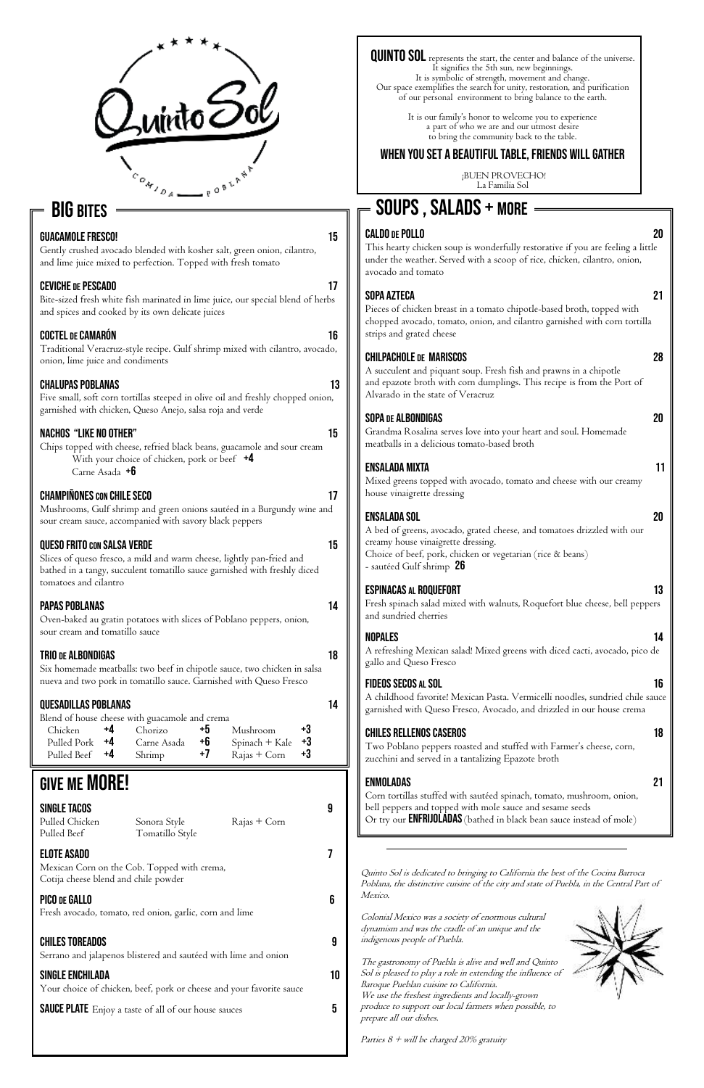

# **BIG BITES**

#### GUACAMOLE FRESCO! 15

Gently crushed avocado blended with kosher salt, green onion, cilantro, and lime juice mixed to perfection. Topped with fresh tomato

#### CEVICHE DE PESCADO **17**

Bite-sized fresh white fish marinated in lime juice, our special blend of herbs and spices and cooked by its own delicate juices

Chips topped with cheese, refried black beans, guacamole and sour cream With your choice of chicken, pork or beef  $+4$ Carne Asada **+6** 

#### CHAMPIÑONES CON CHILE SECO 17

#### Coctel DE Camarón 16

Traditional Veracruz-style recipe. Gulf shrimp mixed with cilantro, avocado, onion, lime juice and condiments

#### Chalupas Poblanas 13

Five small, soft corn tortillas steeped in olive oil and freshly chopped onion, garnished with chicken, Queso Anejo, salsa roja and verde

#### Nachos "Like No Other" 15

Mushrooms, Gulf shrimp and green onions sautéed in a Burgundy wine and sour cream sauce, accompanied with savory black peppers

#### QUESO FRITO CON SALSA VERDE 15

Slices of queso fresco, a mild and warm cheese, lightly pan-fried and bathed in a tangy, succulent tomatillo sauce garnished with freshly diced tomatoes and cilantro

### Papas Poblanas 14

Oven-baked au gratin potatoes with slices of Poblano peppers, onion, sour cream and tomatillo sauce

#### TRIO DE ALBONDIGAS **18**

Six homemade meatballs: two beef in chipotle sauce, two chicken in salsa nueva and two pork in tomatillo sauce. Garnished with Queso Fresco

### Quesadillas Poblanas 14

| Blend of house cheese with guacamole and crema |  |                           |    |                                 |    |
|------------------------------------------------|--|---------------------------|----|---------------------------------|----|
|                                                |  | Chicken $+4$ Chorizo $+5$ |    | Mushroom                        | +3 |
| Pulled Pork $+4$                               |  | Carne Asada               | +6 | Spinach + Kale $+3$             |    |
| Pulled Beef +4                                 |  | $\hbox{Shrimp}$ +7        |    | $\text{Rajas} + \text{Corn}$ +3 |    |

# **GIVE ME MORE!**

Pulled Beef Tomatillo Style

Pulled Chicken Sonora Style Rajas + Corn

## Elote Asado 7

Mexican Corn on the Cob. Topped with crema, Cotija cheese blend and chile powder

#### PICO DE GALLO **600 de Gallo 600 de Gallo 600 de Gal**lo 600 de Gallo 600 de Gallo 600 de Gallo 600 de Gallo 600 de G

Fresh avocado, tomato, red onion, garlic, corn and lime

#### CHILES TOREADOS 9

#### bell peppers and topped with mole sauce and sesame seeds Or try our **ENFRIJOLADAS** (bathed in black bean sauce instead of mole)

Serrano and jalapenos blistered and sautéed with lime and onion

#### Single Enchilada 10

Your choice of chicken, beef, pork or cheese and your favorite sauce

**SAUCE PLATE** Enjoy a taste of all of our house sauces 5

QUINTO SOL represents the start, the center and balance of the universe. It signifies the 5th sun, new beginnings. It is symbolic of strength, movement and change. Our space exemplifies the search for unity, restoration, and purification

#### Caldo DE Pollo 20

This hearty chicken soup is wonderfully restorative if you are feeling a little under the weather. Served with a scoop of rice, chicken, cilantro, onion, avocado and tomato

### Sopa Azteca 21

Pieces of chicken breast in a tomato chipotle-based broth, topped with chopped avocado, tomato, onion, and cilantro garnished with corn tortilla strips and grated cheese

#### Chilpachole DE Mariscos 28

A succulent and piquant soup. Fresh fish and prawns in a chipotle and epazote broth with corn dumplings. This recipe is from the Port of Alvarado in the state of Veracruz

### SOPA DE ALBONDIGAS 20

Grandma Rosalina serves love into your heart and soul. Homemade meatballs in a delicious tomato-based broth

# Ensalada Mixta 11

Mixed greens topped with avocado, tomato and cheese with our creamy house vinaigrette dressing

### Ensalada Sol 20

A bed of greens, avocado, grated cheese, and tomatoes drizzled with our creamy house vinaigrette dressing. Choice of beef, pork, chicken or vegetarian (rice & beans) - sautéed Gulf shrimp 26

### Espinacas AL Roquefort 13

Fresh spinach salad mixed with walnuts, Roquefort blue cheese, bell peppers and sundried cherries

# soups , salads + MORE

### Nopales 14

A refreshing Mexican salad! Mixed greens with diced cacti, avocado, pico de gallo and Queso Fresco

### Fideos Secos AL Sol 16

A childhood favorite! Mexican Pasta. Vermicelli noodles, sundried chile sauce garnished with Queso Fresco, Avocado, and drizzled in our house crema

### Chiles Rellenos Caseros 18

Two Poblano peppers roasted and stuffed with Farmer's cheese, corn, zucchini and served in a tantalizing Epazote broth

### Enmoladas 21

Corn tortillas stuffed with sautéed spinach, tomato, mushroom, onion,

#### SINGLE TACOS 9

of our personal environment to bring balance to the earth.

It is our family's honor to welcome you to experience a part of who we are and our utmost desire to bring the community back to the table.

# When you set a beautiful table, friends will gather

 ¡BUEN PROVECHO! La Familia Sol

Quinto Sol is dedicated to bringing to California the best of the Cocina Barroca Poblana, the distinctive cuisine of the city and state of Puebla, in the Central Part of Mexico.

Colonial Mexico was a society of enormous cultural dynamism and was the cradle of an unique and the indigenous people of Puebla.

The gastronomy of Puebla is alive and well and Quinto Sol is pleased to play a role in extending the influence of Baroque Pueblan cuisine to California. We use the freshest ingredients and locally-grown produce to support our local farmers when possible, to prepare all our dishes.

Parties  $8 +$  will be charged 20% gratuity